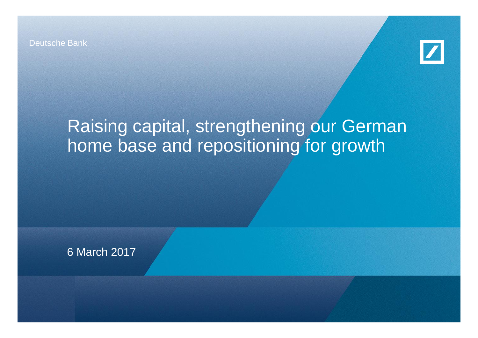Deutsche Bank



# Raising capital, strengthening our German home base and repositioning for growth

6 March 2017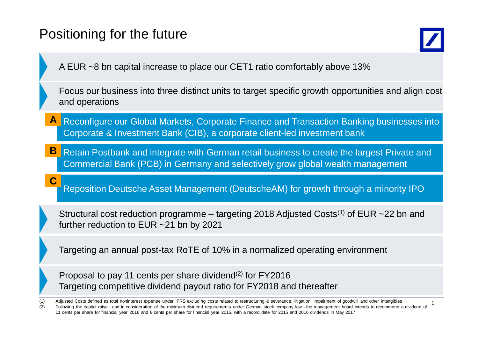### Positioning for the future

**C**



1

A EUR ~8 bn capital increase to place our CET1 ratio comfortably above 13%

Focus our business into three distinct units to target specific growth opportunities and align cost and operations

- Reconfigure our Global Markets, Corporate Finance and Transaction Banking businesses into Corporate & Investment Bank (CIB), a corporate client-led investment bank **A**
- Retain Postbank and integrate with German retail business to create the largest Private and Commercial Bank (PCB) in Germany and selectively grow global wealth management **B**

Reposition Deutsche Asset Management (DeutscheAM) for growth through a minority IPO

Structural cost reduction programme – targeting 2018 Adjusted Costs<sup>(1)</sup> of EUR  $\sim$ 22 bn and further reduction to EUR ~21 bn by 2021

Targeting an annual post-tax RoTE of 10% in a normalized operating environment

Proposal to pay 11 cents per share dividend<sup>(2)</sup> for FY2016 Targeting competitive dividend payout ratio for FY2018 and thereafter

(1) Adjusted Costs defined as total noninterest expense under IFRS excluding costs related to restructuring & severance, litigation, impairment of goodwill and other intangibles (2) Following the capital raise - and in consideration of the minimum dividend requirements under German stock company law - the management board intends to recommend a dividend of 11 cents per share for financial year 2016 and 8 cents per share for financial year 2015, with a record date for 2015 and 2016 dividends in May 2017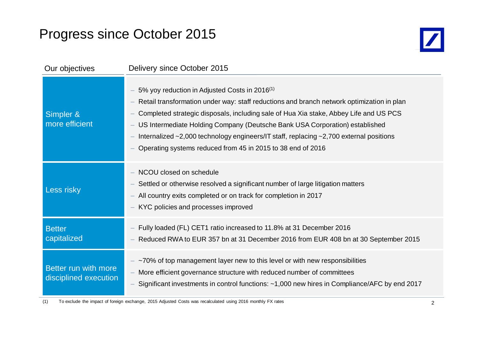### Progress since October 2015



| Our objectives                                | Delivery since October 2015                                                                                                                                                                                                                                                                                                                                                                                                                                                                         |
|-----------------------------------------------|-----------------------------------------------------------------------------------------------------------------------------------------------------------------------------------------------------------------------------------------------------------------------------------------------------------------------------------------------------------------------------------------------------------------------------------------------------------------------------------------------------|
| Simpler &<br>more efficient                   | 5% yoy reduction in Adjusted Costs in 2016 <sup>(1)</sup><br>Retail transformation under way: staff reductions and branch network optimization in plan<br>Completed strategic disposals, including sale of Hua Xia stake, Abbey Life and US PCS<br>US Intermediate Holding Company (Deutsche Bank USA Corporation) established<br>Internalized $\sim$ 2,000 technology engineers/IT staff, replacing $\sim$ 2,700 external positions<br>Operating systems reduced from 45 in 2015 to 38 end of 2016 |
| Less risky                                    | - NCOU closed on schedule<br>Settled or otherwise resolved a significant number of large litigation matters<br>All country exits completed or on track for completion in 2017<br>- KYC policies and processes improved                                                                                                                                                                                                                                                                              |
| <b>Better</b><br>capitalized                  | Fully loaded (FL) CET1 ratio increased to 11.8% at 31 December 2016<br>Reduced RWA to EUR 357 bn at 31 December 2016 from EUR 408 bn at 30 September 2015                                                                                                                                                                                                                                                                                                                                           |
| Better run with more<br>disciplined execution | ~70% of top management layer new to this level or with new responsibilities<br>- More efficient governance structure with reduced number of committees<br>Significant investments in control functions: ~1,000 new hires in Compliance/AFC by end 2017                                                                                                                                                                                                                                              |

(1) To exclude the impact of foreign exchange, 2015 Adjusted Costs was recalculated using 2016 monthly FX rates 2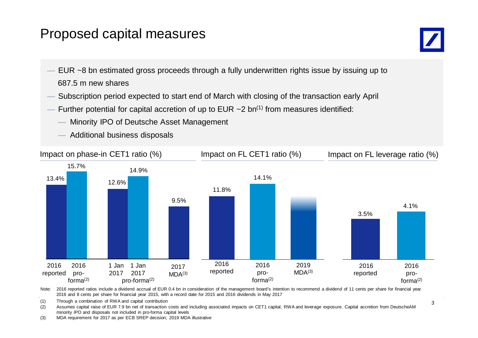### Proposed capital measures



- EUR ~8 bn estimated gross proceeds through a fully underwritten rights issue by issuing up to 687.5 m new shares
- Subscription period expected to start end of March with closing of the transaction early April
- Further potential for capital accretion of up to EUR  $\sim$  2 bn<sup>(1)</sup> from measures identified:
	- Minority IPO of Deutsche Asset Management
	- Additional business disposals



Note: 2016 reported ratios include a dividend accrual of EUR 0.4 bn in consideration of the management board's intention to recommend a dividend of 11 cents per share for financial year 2016 and 8 cents per share for financial year 2015, with a record date for 2015 and 2016 dividends in May 2017

(1) Through a combination of RWA and capital contribution<br>(0) The process is the set FURZ 0 by set of the constitution

(2) Assumes capital raise of EUR 7.9 bn net of transaction costs and including associated impacts on CET1 capital, RWA and leverage exposure. Capital accretion from DeutscheAM minority IPO and disposals not included in pro-forma capital levels

(3) MDA requirement for 2017 as per ECB SREP decision; 2019 MDA illustrative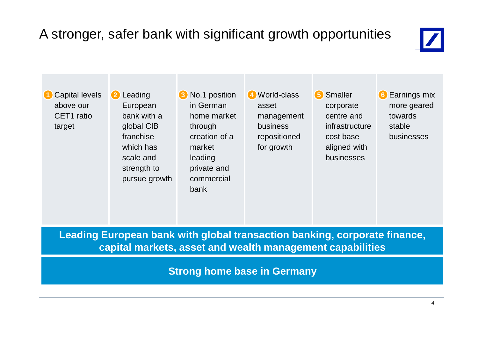## A stronger, safer bank with significant growth opportunities



**1** Capital levels above our CET1 ratio target

2 Leading European bank with a global CIB franchise which has scale and strength to pursue growth

**2** Leading **3** No.1 position **4** World-class **5** Smaller **6** in German home market through creation of a market leading private and commercial bank

**4** World-class asset management business repositioned for growth

**5** Smaller corporate centre and infrastructure cost base aligned with businesses

**6** Earnings mix more geared towards stable businesses

**Leading European bank with global transaction banking, corporate finance, capital markets, asset and wealth management capabilities**

**Strong home base in Germany**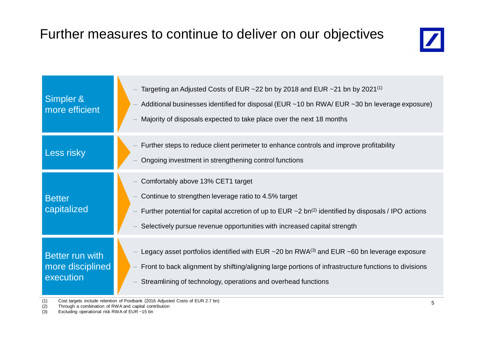### Further measures to continue to deliver on our objectives



| Simpler &<br>more efficient                      | Targeting an Adjusted Costs of EUR $\sim$ 22 bn by 2018 and EUR $\sim$ 21 bn by 2021 <sup>(1)</sup><br>Additional businesses identified for disposal (EUR ~10 bn RWA/ EUR ~30 bn leverage exposure)<br>Majority of disposals expected to take place over the next 18 months                    |
|--------------------------------------------------|------------------------------------------------------------------------------------------------------------------------------------------------------------------------------------------------------------------------------------------------------------------------------------------------|
| Less risky                                       | Further steps to reduce client perimeter to enhance controls and improve profitability<br>Ongoing investment in strengthening control functions                                                                                                                                                |
| <b>Better</b><br>capitalized                     | Comfortably above 13% CET1 target<br>Continue to strengthen leverage ratio to 4.5% target<br>Further potential for capital accretion of up to EUR $\sim$ 2 bn <sup>(2)</sup> identified by disposals / IPO actions<br>Selectively pursue revenue opportunities with increased capital strength |
| Better run with<br>more disciplined<br>execution | Legacy asset portfolios identified with EUR $\sim$ 20 bn RWA <sup>(3)</sup> and EUR $\sim$ 60 bn leverage exposure<br>Front to back alignment by shifting/aligning large portions of infrastructure functions to divisions<br>Streamlining of technology, operations and overhead functions    |

(1) Cost targets include retention of Postbank (2016 Adjusted Costs of EUR 2.7 bn)

(1) Cost targets include retention of Postbank (2016 Adjust<br>(2) Through a combination of RWA and capital contribution

(3) Excluding operational risk RWA of EUR ~15 bn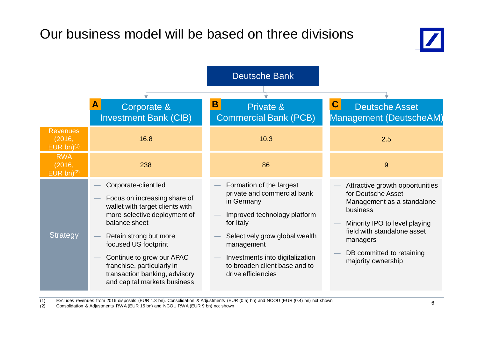### Our business model will be based on three divisions



|                                           |                                                                                                                                                                                                                                                                                                                        | <b>Deutsche Bank</b>                                                                                                                                                                                                                                         |                                                                                                                                                                                                                                |
|-------------------------------------------|------------------------------------------------------------------------------------------------------------------------------------------------------------------------------------------------------------------------------------------------------------------------------------------------------------------------|--------------------------------------------------------------------------------------------------------------------------------------------------------------------------------------------------------------------------------------------------------------|--------------------------------------------------------------------------------------------------------------------------------------------------------------------------------------------------------------------------------|
|                                           | A<br>Corporate &<br><b>Investment Bank (CIB)</b>                                                                                                                                                                                                                                                                       | B<br>Private &<br><b>Commercial Bank (PCB)</b>                                                                                                                                                                                                               | C<br><b>Deutsche Asset</b><br>Management (DeutscheAM)                                                                                                                                                                          |
| <b>Revenues</b><br>(2016,<br>EUR bn $(1)$ | 16.8                                                                                                                                                                                                                                                                                                                   | 10.3                                                                                                                                                                                                                                                         | 2.5                                                                                                                                                                                                                            |
| <b>RWA</b><br>(2016,<br>EUR bn $(2)$      | 238                                                                                                                                                                                                                                                                                                                    | 86                                                                                                                                                                                                                                                           | 9                                                                                                                                                                                                                              |
| <b>Strategy</b>                           | Corporate-client led<br>Focus on increasing share of<br>wallet with target clients with<br>more selective deployment of<br>balance sheet<br>Retain strong but more<br>focused US footprint<br>Continue to grow our APAC<br>franchise, particularly in<br>transaction banking, advisory<br>and capital markets business | Formation of the largest<br>private and commercial bank<br>in Germany<br>Improved technology platform<br>for Italy<br>Selectively grow global wealth<br>management<br>Investments into digitalization<br>to broaden client base and to<br>drive efficiencies | Attractive growth opportunities<br>for Deutsche Asset<br>Management as a standalone<br>business<br>Minority IPO to level playing<br>field with standalone asset<br>managers<br>DB committed to retaining<br>majority ownership |

(1) Excludes revenues from 2016 disposals (EUR 1.3 bn). Consolidation & Adjustments (EUR (0.5) bn) and NCOU (EUR (0.4) bn) not shown<br>(2) Consolidation & Adjustments RWA (EUR 15 bn) and NCOU RWA (EUR 9 bn) not shown

(1) Excludes reverties from 2010 disposals (EDN 1.5 bn). Consolidation & Adjustments (ED<br>(2) Consolidation & Adjustments RWA (EUR 15 bn) and NCOU RWA (EUR 9 bn) not shown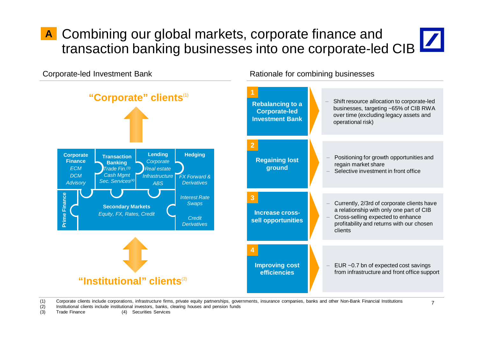## Combining our global markets, corporate finance and **A** transaction banking businesses into one corporate-led CIB

Corporate-led Investment Bank **Rationale for combining businesses** 



(1) Corporate clients include corporations, infrastructure firms, private equity partnerships, governments, insurance companies, banks and other Non-Bank Financial Institutions

(2) Institutional clients include institutional investors, banks, clearing houses and pension funds

(3) Trade Finance (4) Securities Services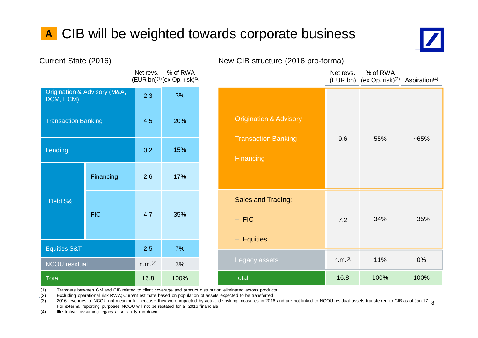## **A** CIB will be weighted towards corporate business



| Current State (2016)       |                              |                     |                                                                  |  |
|----------------------------|------------------------------|---------------------|------------------------------------------------------------------|--|
|                            |                              | Net revs.           | % of RWA<br>(EUR bn) <sup>(1)</sup> (ex Op. risk) <sup>(2)</sup> |  |
| DCM, ECM)                  | Origination & Advisory (M&A, | 2.3                 | 3%                                                               |  |
| <b>Transaction Banking</b> |                              | 4.5                 | 20%                                                              |  |
| Lending                    |                              | 0.2                 | 15%                                                              |  |
|                            | Financing                    | 2.6                 | 17%                                                              |  |
| Debt S&T                   | <b>FIC</b>                   | 4.7                 | 35%                                                              |  |
| <b>Equities S&amp;T</b>    |                              | 2.5                 | 7%                                                               |  |
| <b>NCOU</b> residual       |                              | n.m. <sup>(3)</sup> | 3%                                                               |  |
| Total                      |                              | 16.8                | 100%                                                             |  |

## Net revs. (EUR bn) (ex Op. risk)<sup>(2)</sup> Aspiration<sup>(4)</sup> % of RWA 9.6 55% ~65% 7.2 34% ~35% Origination & Advisory Transaction Banking **Financing** Sales and Trading:  $-$  FIC

n.m.(3) 11% 0%

16.8 100% 100%

### (2016) New CIB structure (2016 pro-forma)

(1) Transfers between GM and CIB related to client coverage and product distribution eliminated across products

(2) Excluding operational risk RWA; Current estimate based on population of assets expected to be transferred

(3) 2016 revenues of NCOU not meaningful because they were impacted by actual de-risking measures in 2016 and are not linked to NCOU residual assets transferred to CIB as of Jan-17. 8<br>Est externel reperties purposes NCOL w For external reporting purposes NCOU will not be restated for all 2016 financials

**Total** 

- Equities

Legacy assets

(4) Illustrative; assuming legacy assets fully run down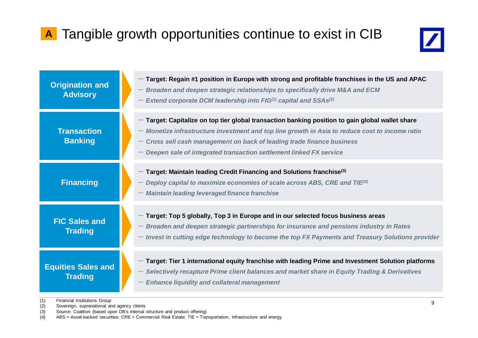## **A** Tangible growth opportunities continue to exist in CIB



| <b>Origination and</b><br><b>Advisory</b>   | Target: Regain #1 position in Europe with strong and profitable franchises in the US and APAC<br>- Broaden and deepen strategic relationships to specifically drive M&A and ECM<br>- Extend corporate DCM leadership into FIG $^{(1)}$ capital and SSAs $^{(2)}$                                                                                  |
|---------------------------------------------|---------------------------------------------------------------------------------------------------------------------------------------------------------------------------------------------------------------------------------------------------------------------------------------------------------------------------------------------------|
| <b>Transaction</b><br><b>Banking</b>        | Target: Capitalize on top tier global transaction banking position to gain global wallet share<br>$-$ Monetize infrastructure investment and top line growth in Asia to reduce cost to income ratio<br>Cross sell cash management on back of leading trade finance business<br>Deepen sale of integrated transaction settlement linked FX service |
| <b>Financing</b>                            | Target: Maintain leading Credit Financing and Solutions franchise <sup>(3)</sup><br>Deploy capital to maximize economies of scale across ABS, CRE and TIE <sup>(4)</sup><br>- Maintain leading leveraged finance franchise                                                                                                                        |
| <b>FIC Sales and</b><br><b>Trading</b>      | - Target: Top 5 globally, Top 3 in Europe and in our selected focus business areas<br>- Broaden and deepen strategic partnerships for insurance and pensions industry in Rates<br>- Invest in cutting edge technology to become the top FX Payments and Treasury Solutions provider                                                               |
| <b>Equities Sales and</b><br><b>Trading</b> | Target: Tier 1 international equity franchise with leading Prime and Investment Solution platforms<br>- Selectively recapture Prime client balances and market share in Equity Trading & Derivatives<br><b>Enhance liquidity and collateral management</b>                                                                                        |

(1) Financial Institutions Group<br>(2) Sovereign, supranational ar

(1) Thiancial institutions Group<br>(2) Sovereign, supranational and agency clients

(3) Source: Coalition (based upon DB's internal structure and product offering)<br>(4) ABS = Asset-backed securities: CRE = Commercial Real Estate: TIE = Trar

ABS = Asset-backed securities; CRE = Commercial Real Estate; TIE = Transportation, infrastructure and energy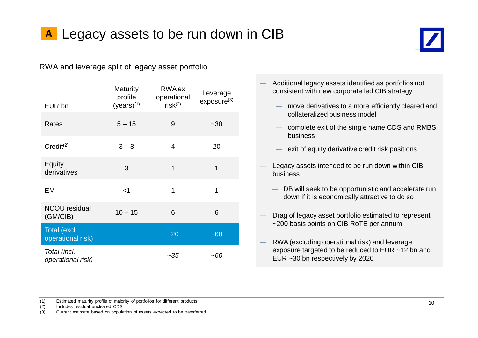



RWA and leverage split of legacy asset portfolio

| EUR bn                            | <b>Maturity</b><br>profile<br>$(years)^{(1)}$ | <b>RWA</b> ex<br>operational<br>$risk^{(3)}$ | Leverage<br>exposure <sup>(3)</sup> |
|-----------------------------------|-----------------------------------------------|----------------------------------------------|-------------------------------------|
| <b>Rates</b>                      | $5 - 15$                                      | 9                                            | $-30$                               |
| $Credit^{(2)}$                    | $3 - 8$                                       | 4                                            | 20                                  |
| Equity<br>derivatives             | 3                                             | 1                                            | 1                                   |
| EM                                | $<$ 1                                         | 1                                            | 1                                   |
| <b>NCOU</b> residual<br>(GM/CIB)  | $10 - 15$                                     | 6                                            | 6                                   |
| Total (excl.<br>operational risk) |                                               | $-20$                                        | $-60$                               |
| Total (incl.<br>operational risk) |                                               | ~35                                          | ~60                                 |

- Additional legacy assets identified as portfolios not consistent with new corporate led CIB strategy
	- move derivatives to a more efficiently cleared and collateralized business model
	- complete exit of the single name CDS and RMBS business
	- $-$  exit of equity derivative credit risk positions
- Legacy assets intended to be run down within CIB business
	- $-$  DB will seek to be opportunistic and accelerate run down if it is economically attractive to do so
- Drag of legacy asset portfolio estimated to represent ~200 basis points on CIB RoTE per annum
- RWA (excluding operational risk) and leverage exposure targeted to be reduced to EUR ~12 bn and EUR ~30 bn respectively by 2020

(1) Estimated maturity profile of majority of portfolios for different products

(2) Includes residual uncleared CDS

(3) Current estimate based on population of assets expected to be transferred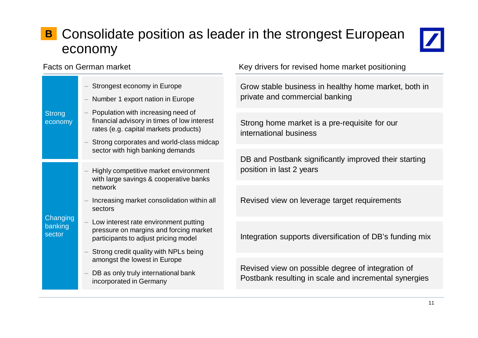### Consolidate position as leader in the strongest European **B** economy



|                               | Strongest economy in Europe                                                                                                |  | Grow stabl                |
|-------------------------------|----------------------------------------------------------------------------------------------------------------------------|--|---------------------------|
| <b>Strong</b><br>economy      | Number 1 export nation in Europe                                                                                           |  | private and               |
|                               | Population with increasing need of<br>financial advisory in times of low interest<br>rates (e.g. capital markets products) |  | Strong hor<br>internation |
|                               | Strong corporates and world-class midcap<br>sector with high banking demands                                               |  |                           |
|                               |                                                                                                                            |  | DB and Po                 |
| Changing<br>banking<br>sector | Highly competitive market environment<br>with large savings & cooperative banks<br>network                                 |  | position in               |
|                               | Increasing market consolidation within all<br>sectors                                                                      |  | <b>Revised vi</b>         |
|                               | Low interest rate environment putting<br>pressure on margins and forcing market<br>participants to adjust pricing model    |  | Integration               |
|                               | Strong credit quality with NPLs being                                                                                      |  |                           |
|                               | amongst the lowest in Europe                                                                                               |  | <b>Revised vi</b>         |
|                               | DB as only truly international bank<br>incorporated in Germany                                                             |  | Postbank i                |

Facts on German market **Key drivers** for revised home market positioning

le business in healthy home market, both in d commercial banking

me market is a pre-requisite for our al business

ostbank significantly improved their starting last 2 years

iew on leverage target requirements

supports diversification of DB's funding mix

ew on possible degree of integration of resulting in scale and incremental synergies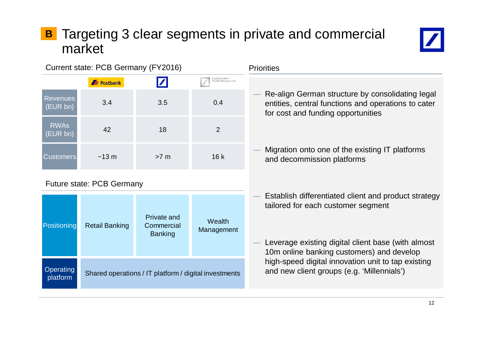### Targeting 3 clear segments in private and commercial market **B**



### Current state: PCB Germany (FY2016)

|                             | <b>Ar</b> Postbank | Z      | Deutsche Bank<br>Wealth Management |
|-----------------------------|--------------------|--------|------------------------------------|
| <b>Revenues</b><br>(EUR bn) | 3.4                | 3.5    | 0.4                                |
| <b>RWAs</b><br>(EUR bn)     | 42                 | 18     | 2                                  |
| <b>Customers</b>            | $~13 \text{ m}$    | $>7$ m | 16k                                |

### Future state: PCB Germany

| Positioning                  | <b>Retail Banking</b> | <b>Private and</b><br>Commercial<br><b>Banking</b>    | Wealth<br>Management |
|------------------------------|-----------------------|-------------------------------------------------------|----------------------|
| <b>Operating</b><br>platform |                       | Shared operations / IT platform / digital investments |                      |

### **Priorities**

- Re-align German structure by consolidating legal entities, central functions and operations to cater for cost and funding opportunities
- Migration onto one of the existing IT platforms and decommission platforms
- Establish differentiated client and product strategy tailored for each customer segment
- Leverage existing digital client base (with almost 10m online banking customers) and develop high-speed digital innovation unit to tap existing and new client groups (e.g. 'Millennials')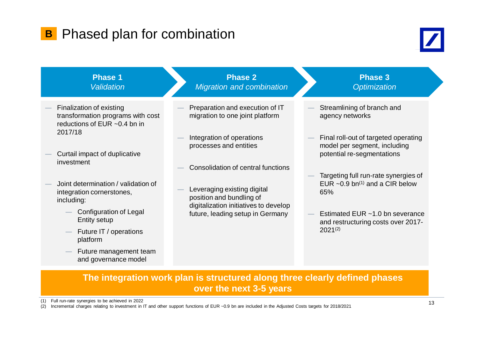### **B** Phased plan for combination





### **The integration work plan is structured along three clearly defined phases over the next 3-5 years**

 $(1)$  Full run-rate synergies to be achieved in 2022

(1) Full run-rate synergies to be achieved in 2022<br>(2) Incremental charges relating to investment in IT and other support functions of EUR ~0.9 bn are included in the Adjusted Costs targets for 2018/2021 13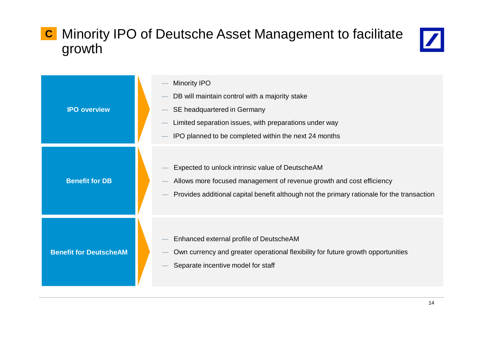### Minority IPO of Deutsche Asset Management to facilitate growth **C**



| <b>IPO overview</b>           | <b>Minority IPO</b><br>DB will maintain control with a majority stake<br>SE headquartered in Germany<br>Limited separation issues, with preparations under way<br>IPO planned to be completed within the next 24 months |
|-------------------------------|-------------------------------------------------------------------------------------------------------------------------------------------------------------------------------------------------------------------------|
| <b>Benefit for DB</b>         | Expected to unlock intrinsic value of DeutscheAM<br>Allows more focused management of revenue growth and cost efficiency<br>Provides additional capital benefit although not the primary rationale for the transaction  |
| <b>Benefit for DeutscheAM</b> | Enhanced external profile of DeutscheAM<br>Own currency and greater operational flexibility for future growth opportunities<br>Separate incentive model for staff                                                       |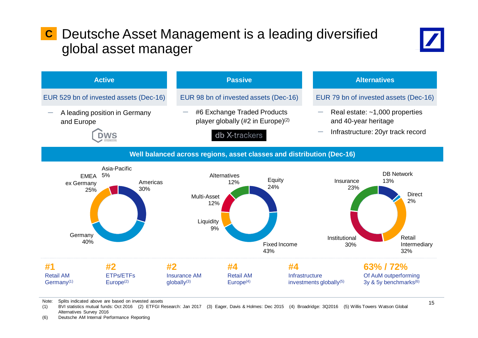### Deutsche Asset Management is a leading diversified **C** global asset manager





Note: Splits indicated above are based on invested assets<br>(4) Bill statistics mutual funds: Oct 2046 (2) FTFCLE

(1) BVI statistics mutual funds: Oct 2016 (2) ETFGI Research: Jan 2017 (3) Eager, Davis & Holmes: Dec 2015 (4) Broadridge: 3Q2016 (5) Willis Towers Watson Global Alternatives Survey 2016

(6) Deutsche AM Internal Performance Reporting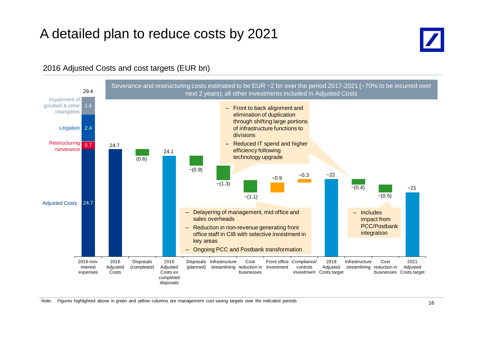### A detailed plan to reduce costs by 2021



#### 2016 Adjusted Costs and cost targets (EUR bn)

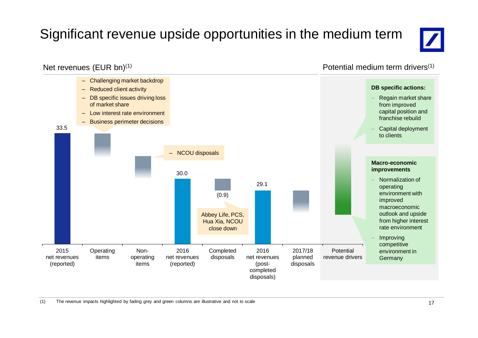## Significant revenue upside opportunities in the medium term



### Net revenues (EUR bn)(1)

Potential medium term drivers(1)

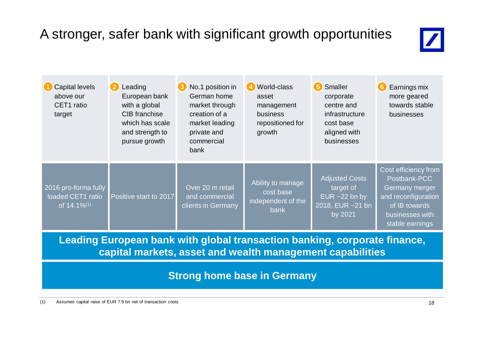## A stronger, safer bank with significant growth opportunities



| <b>Capital levels</b><br>above our<br>CET1 ratio<br>target           | 2<br>Leading<br>European bank<br>with a global<br>CIB franchise<br>which has scale<br>and strength to<br>pursue growth | No.1 position in<br>3<br>German home<br>market through<br>creation of a<br>market leading<br>private and<br>commercial<br>bank | 4 World-class<br>asset<br>management<br><b>business</b><br>repositioned for<br>growth | 5<br>Smaller<br>corporate<br>centre and<br>infrastructure<br>cost base<br>aligned with<br>businesses | Earnings mix<br>$6 \,$<br>more geared<br>towards stable<br>businesses                                                                |
|----------------------------------------------------------------------|------------------------------------------------------------------------------------------------------------------------|--------------------------------------------------------------------------------------------------------------------------------|---------------------------------------------------------------------------------------|------------------------------------------------------------------------------------------------------|--------------------------------------------------------------------------------------------------------------------------------------|
| 2016 pro-forma fully<br>loaded CET1 ratio<br>of 14.1% <sup>(1)</sup> | Positive start to 2017                                                                                                 | Over 20 m retail<br>and commercial<br>clients in Germany                                                                       | Ability to manage<br>cost base<br>independent of the<br><b>bank</b>                   | <b>Adjusted Costs</b><br>target of<br>EUR $~22$ bn by<br>2018, EUR ~21 bn<br>by 2021                 | Cost efficiency from<br>Postbank-PCC<br>Germany merger<br>and reconfiguration<br>of IB towards<br>businesses with<br>stable earnings |

**Leading European bank with global transaction banking, corporate finance, capital markets, asset and wealth management capabilities**

**Strong home base in Germany**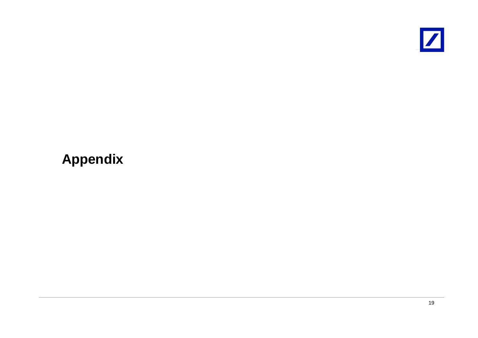

## **Appendix**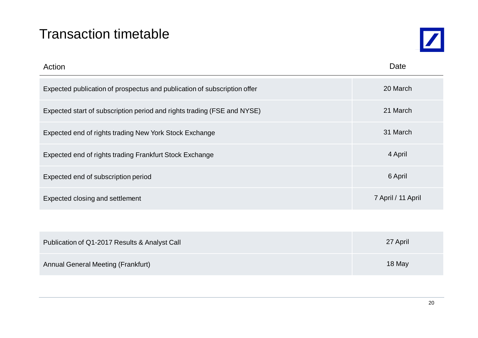### Transaction timetable



| Action                                                                   | Date               |
|--------------------------------------------------------------------------|--------------------|
| Expected publication of prospectus and publication of subscription offer | 20 March           |
| Expected start of subscription period and rights trading (FSE and NYSE)  | 21 March           |
| Expected end of rights trading New York Stock Exchange                   | 31 March           |
| Expected end of rights trading Frankfurt Stock Exchange                  | 4 April            |
| Expected end of subscription period                                      | 6 April            |
| Expected closing and settlement                                          | 7 April / 11 April |
|                                                                          |                    |
| Publication of Q1-2017 Results & Analyst Call                            | 27 April           |

| abiloguottoi & Ebrit Roballo & Alialyot Odil | ______ |
|----------------------------------------------|--------|
| <b>Annual General Meeting (Frankfurt)</b>    | 18 May |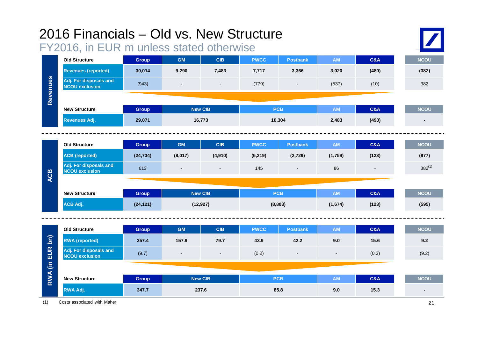|                                         | 2016 Financials - Old vs. New Structure<br>FY2016, in EUR m unless stated otherwise |                |                          |                |             |                 |                          |                |             |  |
|-----------------------------------------|-------------------------------------------------------------------------------------|----------------|--------------------------|----------------|-------------|-----------------|--------------------------|----------------|-------------|--|
| Revenues                                | <b>Old Structure</b>                                                                | <b>Group</b>   | <b>GM</b>                | <b>CIB</b>     | <b>PWCC</b> | <b>Postbank</b> | <b>AM</b>                | <b>C&amp;A</b> | <b>NCOU</b> |  |
|                                         | <b>Revenues (reported)</b>                                                          | 30,014         | 9,290                    | 7,483          | 7,717       | 3,366           | 3,020                    | (480)          | (382)       |  |
|                                         | Adj. For disposals and<br><b>NCOU exclusion</b>                                     | (943)          |                          | $\blacksquare$ | (779)       |                 | (537)                    | (10)           | 382         |  |
|                                         |                                                                                     |                |                          |                |             |                 |                          |                |             |  |
|                                         | <b>New Structure</b>                                                                | <b>Group</b>   | <b>New CIB</b>           |                | <b>PCB</b>  |                 | <b>AM</b>                | <b>C&amp;A</b> | <b>NCOU</b> |  |
|                                         | <b>Revenues Adj.</b>                                                                | 29,071         | 16,773                   |                | 10,304      |                 | 2,483                    | (490)          |             |  |
|                                         |                                                                                     |                |                          |                |             |                 |                          |                |             |  |
| <b>ACB</b>                              | <b>Old Structure</b>                                                                | <b>Group</b>   | <b>GM</b>                | <b>CIB</b>     | <b>PWCC</b> | <b>Postbank</b> | AM                       | C&A            | <b>NCOU</b> |  |
|                                         | <b>ACB</b> (reported)                                                               | (24, 734)      | (8,017)                  | (4,910)        | (6, 219)    | (2,729)         | (1,759)                  | (123)          | (977)       |  |
|                                         | Adj. For disposals and<br><b>NCOU exclusion</b>                                     | 613            | $\blacksquare$           | $\blacksquare$ | 145         |                 | 86                       |                | $382^{(1)}$ |  |
|                                         |                                                                                     |                |                          |                |             |                 |                          |                |             |  |
|                                         | <b>New Structure</b>                                                                | <b>Group</b>   | <b>New CIB</b>           |                | <b>PCB</b>  |                 | <b>AM</b>                | <b>C&amp;A</b> | <b>NCOU</b> |  |
|                                         | <b>ACB Adj.</b>                                                                     | (24, 121)      | (12, 927)                |                | (8,803)     |                 | (1,674)                  | (123)          | (595)       |  |
|                                         |                                                                                     |                |                          |                |             |                 |                          |                |             |  |
|                                         | <b>Old Structure</b>                                                                | <b>Group</b>   | <b>GM</b>                | <b>CIB</b>     | <b>PWCC</b> | <b>Postbank</b> | <b>AM</b>                | <b>C&amp;A</b> | <b>NCOU</b> |  |
| $\overline{\mathsf{bn}}$<br>RWA (in EUR | <b>RWA</b> (reported)                                                               | 357.4          | 157.9                    | 79.7           | 43.9        | 42.2            | 9.0                      | 15.6           | 9.2         |  |
|                                         | Adj. For disposals and<br><b>NCOU exclusion</b>                                     | (9.7)          | $\overline{\phantom{a}}$ | $\blacksquare$ | (0.2)       | $\blacksquare$  | $\overline{\phantom{a}}$ | (0.3)          | (9.2)       |  |
|                                         |                                                                                     |                |                          |                |             |                 |                          |                |             |  |
|                                         | <b>New Structure</b>                                                                | <b>Group</b>   | <b>New CIB</b>           |                | <b>PCB</b>  |                 | <b>AM</b>                | <b>C&amp;A</b> | <b>NCOU</b> |  |
|                                         | RWA Adj.                                                                            | 347.7<br>237.6 |                          |                | 85.8        |                 | 9.0                      | 15.3           |             |  |

(1) Costs associated with Maher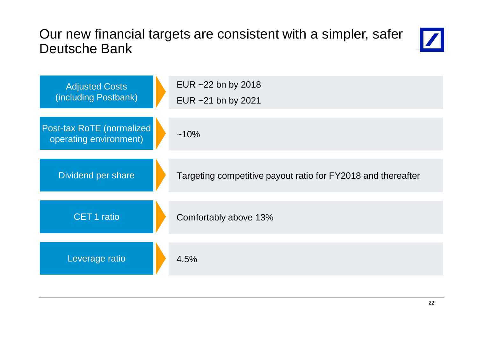### Our new financial targets are consistent with a simpler, safer Deutsche Bank



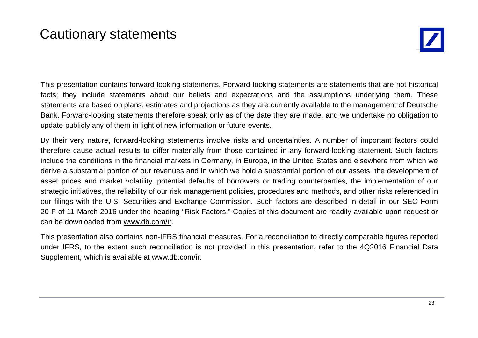### Cautionary statements



This presentation contains forward-looking statements. Forward-looking statements are statements that are not historical facts; they include statements about our beliefs and expectations and the assumptions underlying them. These statements are based on plans, estimates and projections as they are currently available to the management of Deutsche Bank. Forward-looking statements therefore speak only as of the date they are made, and we undertake no obligation to update publicly any of them in light of new information or future events.

By their very nature, forward-looking statements involve risks and uncertainties. A number of important factors could therefore cause actual results to differ materially from those contained in any forward-looking statement. Such factors include the conditions in the financial markets in Germany, in Europe, in the United States and elsewhere from which we derive a substantial portion of our revenues and in which we hold a substantial portion of our assets, the development of asset prices and market volatility, potential defaults of borrowers or trading counterparties, the implementation of our strategic initiatives, the reliability of our risk management policies, procedures and methods, and other risks referenced in our filings with the U.S. Securities and Exchange Commission. Such factors are described in detail in our SEC Form 20-F of 11 March 2016 under the heading "Risk Factors." Copies of this document are readily available upon request or can be downloaded from www.db.com/ir.

This presentation also contains non-IFRS financial measures. For a reconciliation to directly comparable figures reported under IFRS, to the extent such reconciliation is not provided in this presentation, refer to the 4Q2016 Financial Data Supplement, which is available at www.db.com/ir.